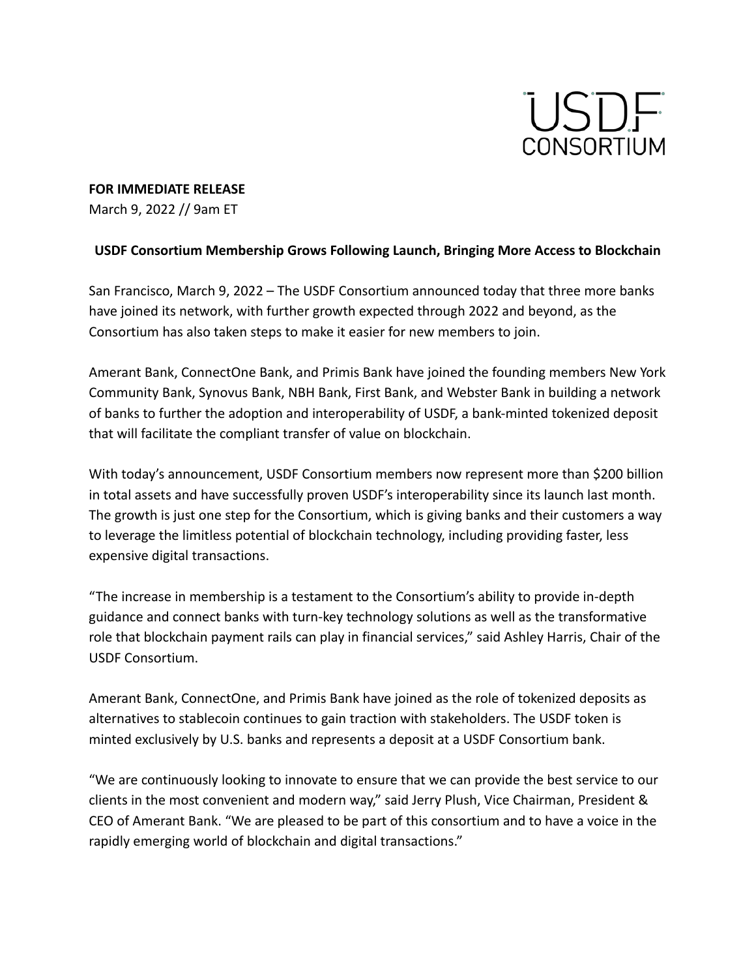

## **FOR IMMEDIATE RELEASE**

March 9, 2022 // 9am ET

## **USDF Consortium Membership Grows Following Launch, Bringing More Access to Blockchain**

San Francisco, March 9, 2022 – The USDF Consortium announced today that three more banks have joined its network, with further growth expected through 2022 and beyond, as the Consortium has also taken steps to make it easier for new members to join.

Amerant Bank, ConnectOne Bank, and Primis Bank have joined the founding members New York Community Bank, Synovus Bank, NBH Bank, First Bank, and Webster Bank in building a network of banks to further the adoption and interoperability of USDF, a bank-minted tokenized deposit that will facilitate the compliant transfer of value on blockchain.

With today's announcement, USDF Consortium members now represent more than \$200 billion in total assets and have successfully proven USDF's interoperability since its launch last month. The growth is just one step for the Consortium, which is giving banks and their customers a way to leverage the limitless potential of blockchain technology, including providing faster, less expensive digital transactions.

"The increase in membership is a testament to the Consortium's ability to provide in-depth guidance and connect banks with turn-key technology solutions as well as the transformative role that blockchain payment rails can play in financial services," said Ashley Harris, Chair of the USDF Consortium.

Amerant Bank, ConnectOne, and Primis Bank have joined as the role of tokenized deposits as alternatives to stablecoin continues to gain traction with stakeholders. The USDF token is minted exclusively by U.S. banks and represents a deposit at a USDF Consortium bank.

"We are continuously looking to innovate to ensure that we can provide the best service to our clients in the most convenient and modern way," said Jerry Plush, Vice Chairman, President & CEO of Amerant Bank. "We are pleased to be part of this consortium and to have a voice in the rapidly emerging world of blockchain and digital transactions."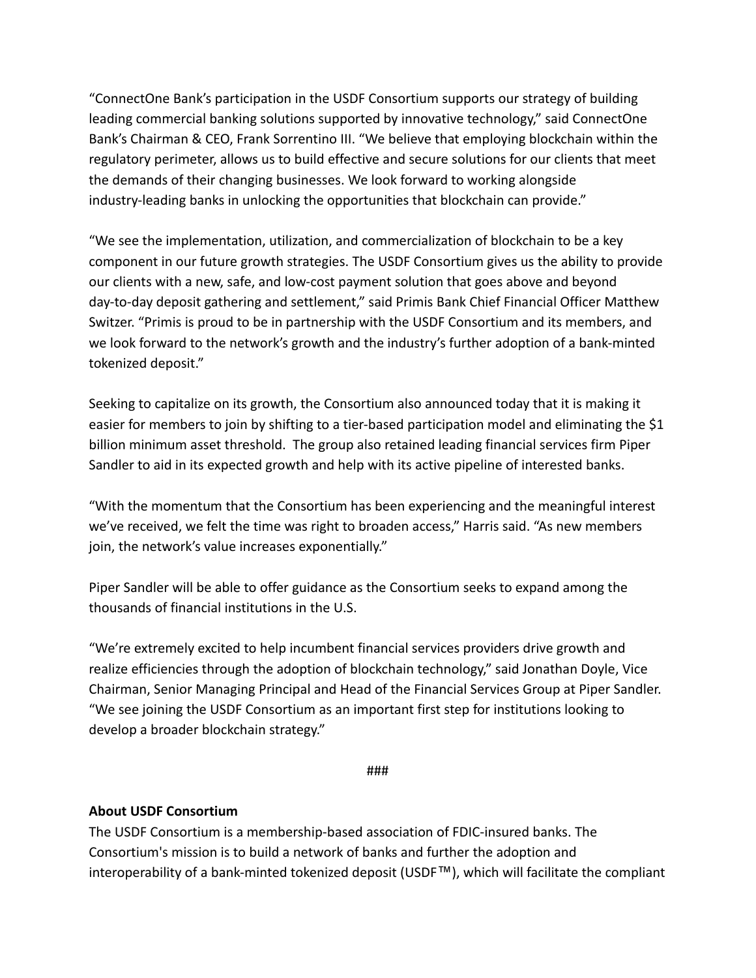"ConnectOne Bank's participation in the USDF Consortium supports our strategy of building leading commercial banking solutions supported by innovative technology," said ConnectOne Bank's Chairman & CEO, Frank Sorrentino III. "We believe that employing blockchain within the regulatory perimeter, allows us to build effective and secure solutions for our clients that meet the demands of their changing businesses. We look forward to working alongside industry-leading banks in unlocking the opportunities that blockchain can provide."

"We see the implementation, utilization, and commercialization of blockchain to be a key component in our future growth strategies. The USDF Consortium gives us the ability to provide our clients with a new, safe, and low-cost payment solution that goes above and beyond day-to-day deposit gathering and settlement," said Primis Bank Chief Financial Officer Matthew Switzer. "Primis is proud to be in partnership with the USDF Consortium and its members, and we look forward to the network's growth and the industry's further adoption of a bank-minted tokenized deposit."

Seeking to capitalize on its growth, the Consortium also announced today that it is making it easier for members to join by shifting to a tier-based participation model and eliminating the \$1 billion minimum asset threshold. The group also retained leading financial services firm Piper Sandler to aid in its expected growth and help with its active pipeline of interested banks.

"With the momentum that the Consortium has been experiencing and the meaningful interest we've received, we felt the time was right to broaden access," Harris said. "As new members join, the network's value increases exponentially."

Piper Sandler will be able to offer guidance as the Consortium seeks to expand among the thousands of financial institutions in the U.S.

"We're extremely excited to help incumbent financial services providers drive growth and realize efficiencies through the adoption of blockchain technology," said Jonathan Doyle, Vice Chairman, Senior Managing Principal and Head of the Financial Services Group at Piper Sandler. "We see joining the USDF Consortium as an important first step for institutions looking to develop a broader blockchain strategy."

###

# **About USDF Consortium**

The USDF Consortium is a membership-based association of FDIC-insured banks. The Consortium's mission is to build a network of banks and further the adoption and interoperability of a bank-minted tokenized deposit (USDF™), which will facilitate the compliant